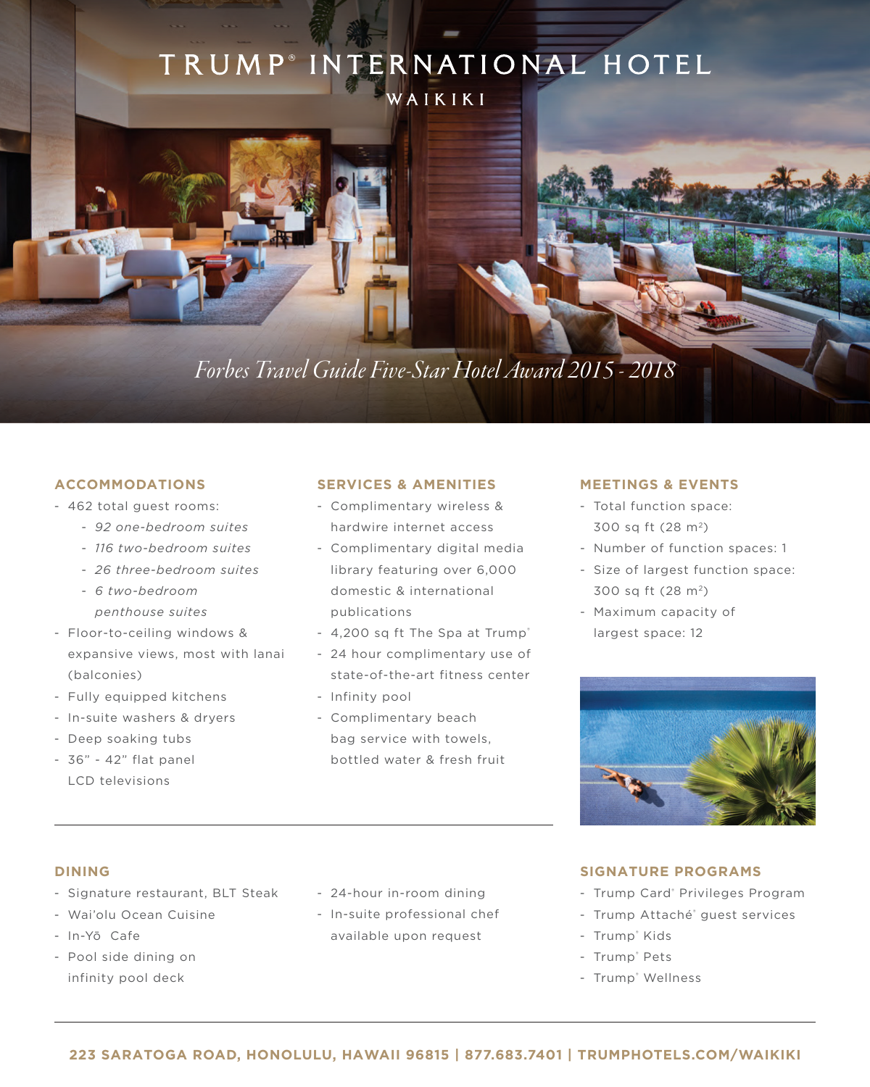# TRUMP<sup>®</sup> INTERNATIONAL HOTEL

WAIKIKI

# *Forbes Travel Guide Five-Star Hotel Award 2015 - 2018*

## **ACCOMMODATIONS**

- 462 total guest rooms:
	- *92 one-bedroom suites*
	- *116 two-bedroom suites*
	- *26 three-bedroom suites*
	- *6 two-bedroom penthouse suites*
- Floor-to-ceiling windows & expansive views, most with lanai (balconies)
- Fully equipped kitchens
- In-suite washers & dryers
- Deep soaking tubs
- 36" 42" flat panel LCD televisions

#### **SERVICES & AMENITIES**

- Complimentary wireless & hardwire internet access
- Complimentary digital media library featuring over 6,000 domestic & international publications
- 4,200 sq ft The Spa at Trump®
- 24 hour complimentary use of state-of-the-art fitness center
- Infinity pool
- Complimentary beach bag service with towels, bottled water & fresh fruit

#### **MEETINGS & EVENTS**

- Total function space: 300 sq ft (28 m<sup>2</sup>)
- Number of function spaces: 1
- Size of largest function space: 300 sq ft (28 m<sup>2</sup>)
- Maximum capacity of largest space: 12



#### **DINING**

- Signature restaurant, BLT Steak
- Wai'olu Ocean Cuisine
- In-Yō Cafe
- Pool side dining on infinity pool deck
- 24-hour in-room dining
- In-suite professional chef available upon request

### **SIGNATURE PROGRAMS**

- Trump Card<sup>®</sup> Privileges Program
- Trump Attaché® guest services
- Trump® Kids
- Trump® Pets
- Trump® Wellness